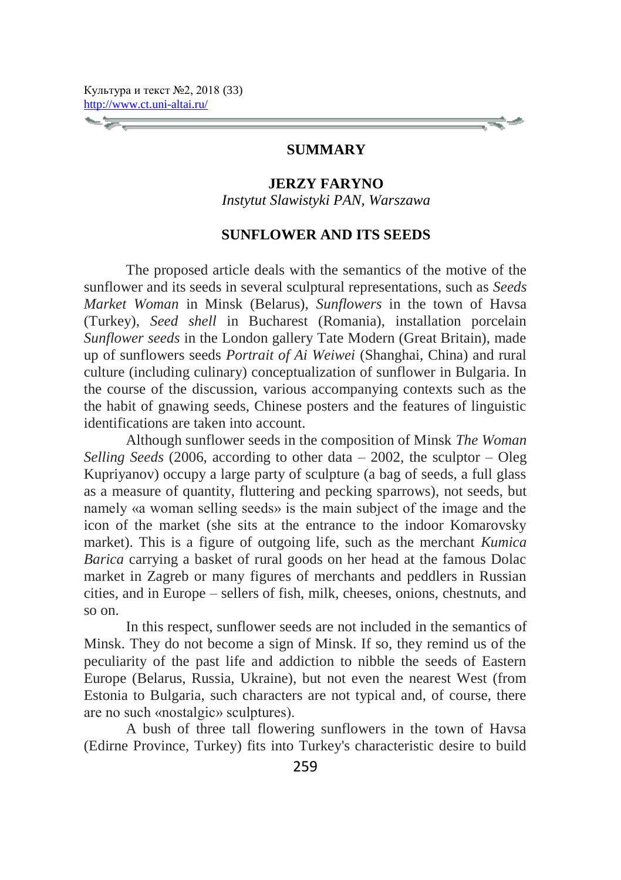## **SUMMARY**

## **JERZY FARYNO**

*Instytut Slawistyki PAN, Warszawa*

#### **SUNFLOWER AND ITS SEEDS**

The proposed article deals with the semantics of the motive of the sunflower and its seeds in several sculptural representations, such as *Seeds Market Woman* in Minsk (Belarus), *Sunflowers* in the town of Havsa (Turkey), *Seed shell* in Bucharest (Romania), installation porcelain *Sunflower seeds* in the London gallery Tate Modern (Great Britain), made up of sunflowers seeds *Portrait of Ai Weiwei* (Shanghai, China) and rural culture (including culinary) conceptualization of sunflower in Bulgaria. In the course of the discussion, various accompanying contexts such as the the habit of gnawing seeds, Chinese posters and the features of linguistic identifications are taken into account.

Although sunflower seeds in the composition of Minsk *The Woman Selling Seeds* (2006, according to other data – 2002, the sculptor – Oleg Kupriyanov) occupy a large party of sculpture (a bag of seeds, a full glass as a measure of quantity, fluttering and pecking sparrows), not seeds, but namely «a woman selling seeds» is the main subject of the image and the icon of the market (she sits at the entrance to the indoor Komarovsky market). This is a figure of outgoing life, such as the merchant *Kumica Barica* carrying a basket of rural goods on her head at the famous Dolac market in Zagreb or many figures of merchants and peddlers in Russian cities, and in Europe – sellers of fish, milk, cheeses, onions, chestnuts, and so on.

In this respect, sunflower seeds are not included in the semantics of Minsk. They do not become a sign of Minsk. If so, they remind us of the peculiarity of the past life and addiction to nibble the seeds of Eastern Europe (Belarus, Russia, Ukraine), but not even the nearest West (from Estonia to Bulgaria, such characters are not typical and, of course, there are no such «nostalgic» sculptures).

A bush of three tall flowering sunflowers in the town of Havsa (Edirne Province, Turkey) fits into Turkey's characteristic desire to build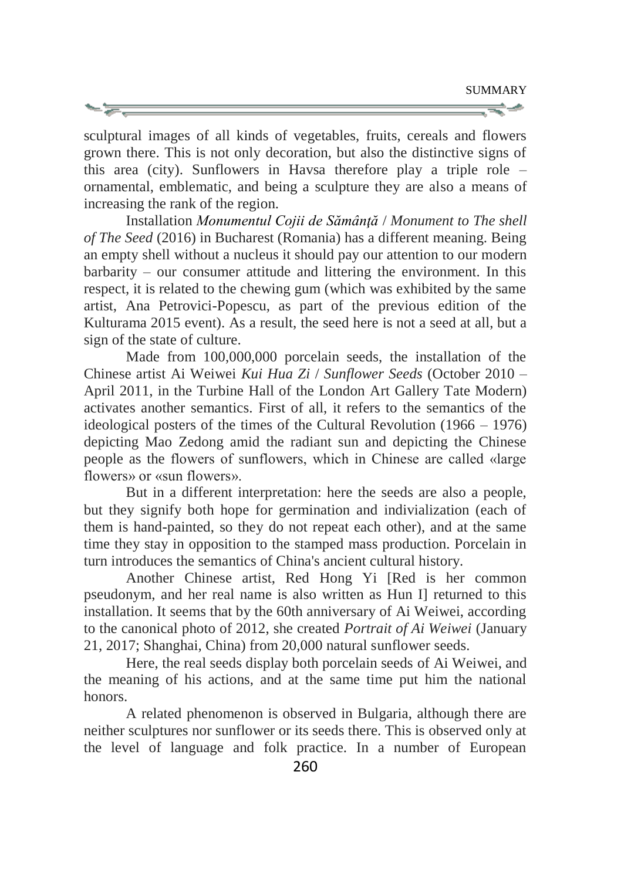sculptural images of all kinds of vegetables, fruits, cereals and flowers grown there. This is not only decoration, but also the distinctive signs of this area (city). Sunflowers in Havsa therefore play a triple role – ornamental, emblematic, and being a sculpture they are also a means of increasing the rank of the region.

Installation *Monumentul Cojii de Sămânţă* / *Monument to The shell of The Seed* (2016) in Bucharest (Romania) has a different meaning. Being an empty shell without a nucleus it should pay our attention to our modern barbarity – our consumer attitude and littering the environment. In this respect, it is related to the chewing gum (which was exhibited by the same artist, Ana Petrovici-Popescu, as part of the previous edition of the Kulturama 2015 event). As a result, the seed here is not a seed at all, but a sign of the state of culture.

Made from 100,000,000 porcelain seeds, the installation of the Chinese artist Ai Weiwei *Kui Hua Zi* / *Sunflower Seeds* (October 2010 – April 2011, in the Turbine Hall of the London Art Gallery Tate Modern) activates another semantics. First of all, it refers to the semantics of the ideological posters of the times of the Cultural Revolution (1966 – 1976) depicting Mao Zedong amid the radiant sun and depicting the Chinese people as the flowers of sunflowers, which in Chinese are called «large flowers» or «sun flowers».

But in a different interpretation: here the seeds are also a people, but they signify both hope for germination and indivialization (each of them is hand-painted, so they do not repeat each other), and at the same time they stay in opposition to the stamped mass production. Porcelain in turn introduces the semantics of China's ancient cultural history.

Another Chinese artist, Red Hong Yi [Red is her common pseudonym, and her real name is also written as Hun I] returned to this installation. It seems that by the 60th anniversary of Ai Weiwei, according to the canonical photo of 2012, she created *Portrait of Ai Weiwei* (January 21, 2017; Shanghai, China) from 20,000 natural sunflower seeds.

Here, the real seeds display both porcelain seeds of Ai Weiwei, and the meaning of his actions, and at the same time put him the national honors.

A related phenomenon is observed in Bulgaria, although there are neither sculptures nor sunflower or its seeds there. This is observed only at the level of language and folk practice. In a number of European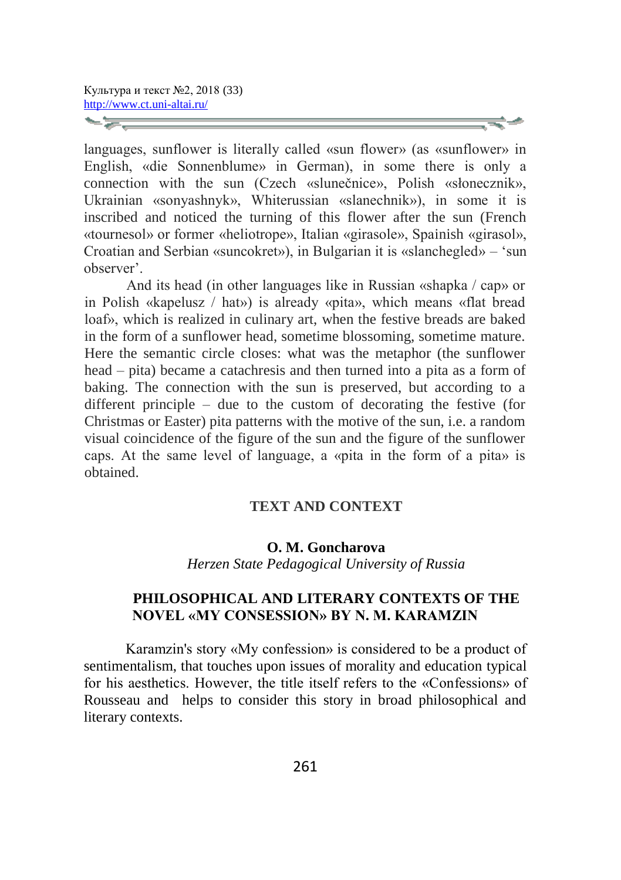languages, sunflower is literally called «sun flower» (as «sunflower» in English, «die Sonnenblume» in German), in some there is only a connection with the sun (Czech «slunečnice», Polish «słonecznik», Ukrainian «sonyashnyk», Whiterussian «slanechnik»), in some it is inscribed and noticed the turning of this flower after the sun (French «tournesol» or former «heliotrope», Italian «girasole», Spainish «girasol», Croatian and Serbian «suncokret»), in Bulgarian it is «slanchegled» – 'sun observer'.

And its head (in other languages like in Russian «shapka / cap» or in Polish «kapelusz / hat») is already «pita», which means «flat bread loaf», which is realized in culinary art, when the festive breads are baked in the form of a sunflower head, sometime blossoming, sometime mature. Here the semantic circle closes: what was the metaphor (the sunflower head – pita) became a catachresis and then turned into a pita as a form of baking. The connection with the sun is preserved, but according to a different principle – due to the custom of decorating the festive (for Christmas or Easter) pita patterns with the motive of the sun, i.e. a random visual coincidence of the figure of the sun and the figure of the sunflower caps. At the same level of language, a «pita in the form of a pita» is obtained.

### **TEXT AND CONTEXT**

#### **O. M. Goncharova** *Herzen State Pedagogiсal University of Russia*

## **PHILOSOPHICAL AND LITERARY CONTEXTS OF THE NOVEL «MY CONSESSION» BY N. M. KARAMZIN**

Karamzin's story «My confession» is considered to be a product of sentimentalism, that touches upon issues of morality and education typical for his aesthetics. However, the title itself refers to the «Confessions» of Rousseau and helps to consider this story in broad philosophical and literary contexts.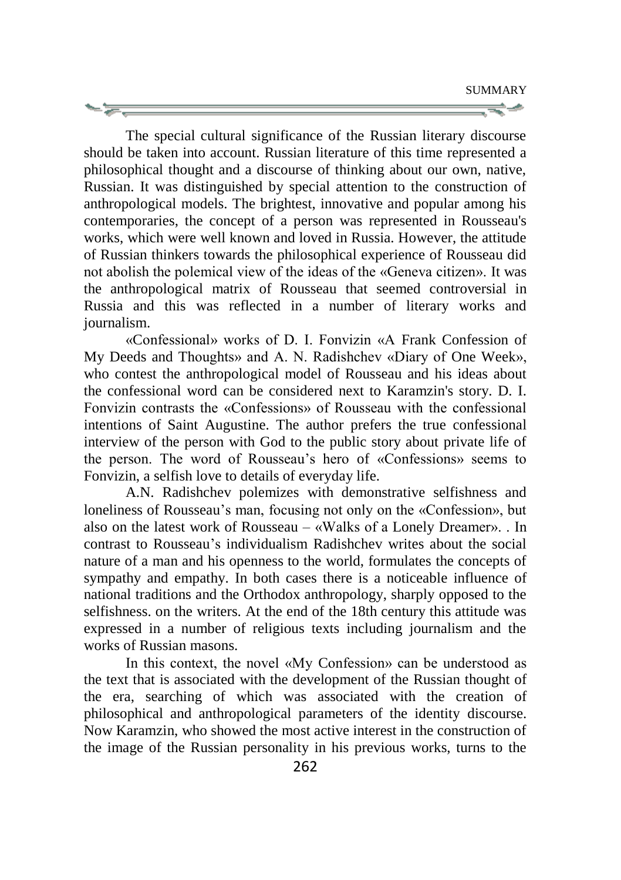SUMMARY ਵ∸

The special cultural significance of the Russian literary discourse should be taken into account. Russian literature of this time represented a philosophical thought and a discourse of thinking about our own, native, Russian. It was distinguished by special attention to the construction of anthropological models. The brightest, innovative and popular among his contemporaries, the concept of a person was represented in Rousseau's works, which were well known and loved in Russia. However, the attitude of Russian thinkers towards the philosophical experience of Rousseau did not abolish the polemical view of the ideas of the «Geneva citizen». It was the anthropological matrix of Rousseau that seemed controversial in Russia and this was reflected in a number of literary works and journalism.

«Confessional» works of D. I. Fonvizin «A Frank Confession of My Deeds and Thoughts» and A. N. Radishchev «Diary of One Week», who contest the anthropological model of Rousseau and his ideas about the confessional word can be considered next to Karamzin's story. D. I. Fonvizin contrasts the «Confessions» of Rousseau with the confessional intentions of Saint Augustine. The author prefers the true confessional interview of the person with God to the public story about private life of the person. The word of Rousseau's hero of «Confessions» seems to Fonvizin, a selfish love to details of everyday life.

A.N. Radishchev polemizes with demonstrative selfishness and loneliness of Rousseau's man, focusing not only on the «Confession», but also on the latest work of Rousseau – «Walks of a Lonely Dreamer». . In contrast to Rousseau's individualism Radishchev writes about the social nature of a man and his openness to the world, formulates the concepts of sympathy and empathy. In both cases there is a noticeable influence of national traditions and the Orthodox anthropology, sharply opposed to the selfishness. on the writers. At the end of the 18th century this attitude was expressed in a number of religious texts including journalism and the works of Russian masons.

In this context, the novel «My Confession» can be understood as the text that is associated with the development of the Russian thought of the era, searching of which was associated with the creation of philosophical and anthropological parameters of the identity discourse. Now Karamzin, who showed the most active interest in the construction of the image of the Russian personality in his previous works, turns to the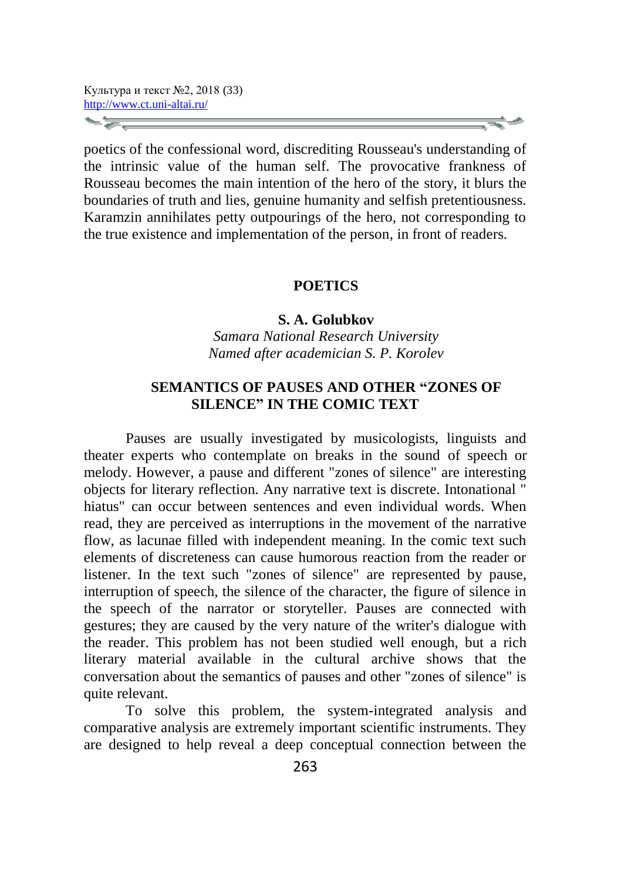poetics of the confessional word, discrediting Rousseau's understanding of the intrinsic value of the human self. The provocative frankness of Rousseau becomes the main intention of the hero of the story, it blurs the boundaries of truth and lies, genuine humanity and selfish pretentiousness. Karamzin annihilates petty outpourings of the hero, not corresponding to the true existence and implementation of the person, in front of readers.

#### **POETICS**

#### **S. A. Golubkov**

*Samara National Research University Named after academician S. P. Korolev*

## **SEMANTICS OF PAUSES AND OTHER "ZONES OF SILENCE" IN THE COMIC TEXT**

Pauses are usually investigated by musicologists, linguists and theater experts who contemplate on breaks in the sound of speech or melody. However, a pause and different "zones of silence" are interesting objects for literary reflection. Any narrative text is discrete. Intonational " hiatus" can occur between sentences and even individual words. When read, they are perceived as interruptions in the movement of the narrative flow, as lacunae filled with independent meaning. In the comic text such elements of discreteness can cause humorous reaction from the reader or listener. In the text such "zones of silence" are represented by pause, interruption of speech, the silence of the character, the figure of silence in the speech of the narrator or storyteller. Pauses are connected with gestures; they are caused by the very nature of the writer's dialogue with the reader. This problem has not been studied well enough, but a rich literary material available in the cultural archive shows that the conversation about the semantics of pauses and other "zones of silence" is quite relevant.

To solve this problem, the system-integrated analysis and comparative analysis are extremely important scientific instruments. They are designed to help reveal a deep conceptual connection between the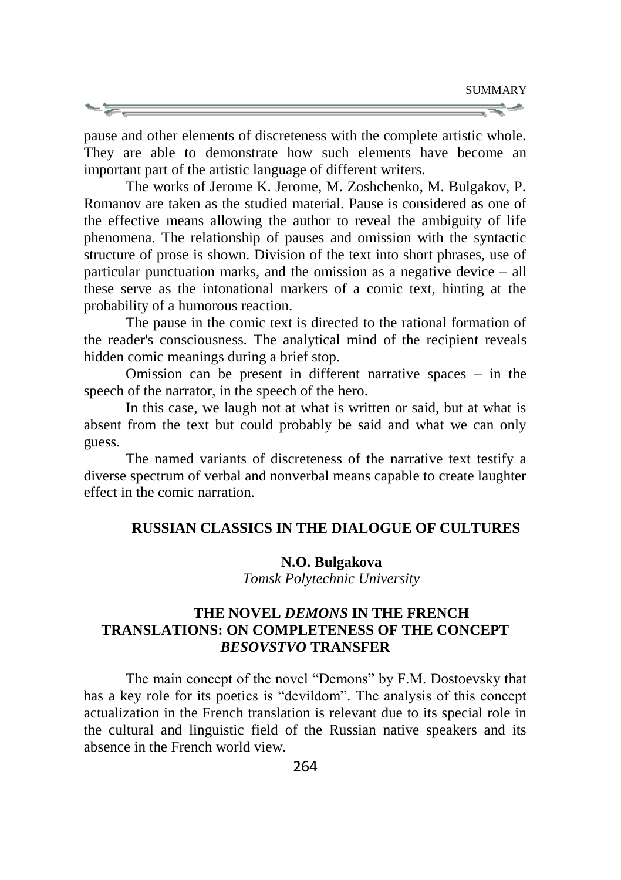pause and other elements of discreteness with the complete artistic whole. They are able to demonstrate how such elements have become an important part of the artistic language of different writers.

The works of Jerome K. Jerome, M. Zoshchenko, M. Bulgakov, P. Romanov are taken as the studied material. Pause is considered as one of the effective means allowing the author to reveal the ambiguity of life phenomena. The relationship of pauses and omission with the syntactic structure of prose is shown. Division of the text into short phrases, use of particular punctuation marks, and the omission as a negative device  $-$  all these serve as the intonational markers of a comic text, hinting at the probability of a humorous reaction.

The pause in the comic text is directed to the rational formation of the reader's consciousness. The analytical mind of the recipient reveals hidden comic meanings during a brief stop.

Omission can be present in different narrative spaces – in the speech of the narrator, in the speech of the hero.

In this case, we laugh not at what is written or said, but at what is absent from the text but could probably be said and what we can only guess.

The named variants of discreteness of the narrative text testify a diverse spectrum of verbal and nonverbal means capable to create laughter effect in the comic narration.

### **RUSSIAN CLASSICS IN THE DIALOGUE OF CULTURES**

### **N.O. Bulgakova**

*Tomsk Polytechnic University*

## **THE NOVEL** *DEMONS* **IN THE FRENCH TRANSLATIONS: ON COMPLETENESS OF THE CONCEPT**  *BESOVSTVO* **TRANSFER**

The main concept of the novel "Demons" by F.M. Dostoevsky that has a key role for its poetics is "devildom". The analysis of this concept actualization in the French translation is relevant due to its special role in the cultural and linguistic field of the Russian native speakers and its absence in the French world view.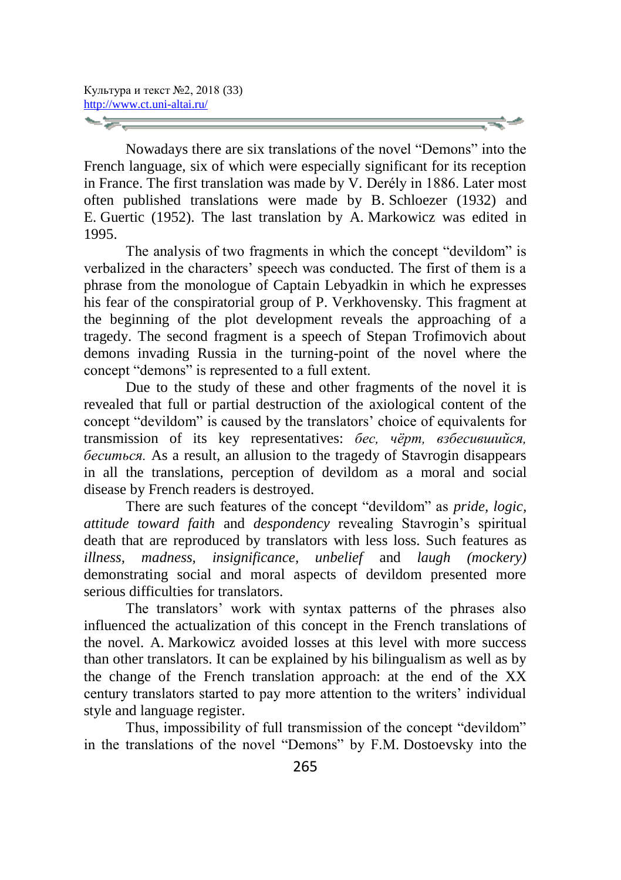Nowadays there are six translations of the novel "Demons" into the French language, six of which were especially significant for its reception in France. The first translation was made by V. Derély in 1886. Later most often published translations were made by B. Schloezer (1932) and E. Guertic (1952). The last translation by A. Markowicz was edited in 1995.

The analysis of two fragments in which the concept "devildom" is verbalized in the characters' speech was conducted. The first of them is a phrase from the monologue of Captain Lebyadkin in which he expresses his fear of the conspiratorial group of P. Verkhovensky. This fragment at the beginning of the plot development reveals the approaching of a tragedy. The second fragment is a speech of Stepan Trofimovich about demons invading Russia in the turning-point of the novel where the concept "demons" is represented to a full extent.

Due to the study of these and other fragments of the novel it is revealed that full or partial destruction of the axiological content of the concept "devildom" is caused by the translators' choice of equivalents for transmission of its key representatives: *бес, чёрт, взбесившийся, беситься.* As a result, an allusion to the tragedy of Stavrogin disappears in all the translations, perception of devildom as a moral and social disease by French readers is destroyed.

There are such features of the concept "devildom" as *pride, logic, attitude toward faith* and *despondency* revealing Stavrogin's spiritual death that are reproduced by translators with less loss. Such features as *illness, madness, insignificance, unbelief* and *laugh (mockery)* demonstrating social and moral aspects of devildom presented more serious difficulties for translators.

The translators' work with syntax patterns of the phrases also influenced the actualization of this concept in the French translations of the novel. A. Markowicz avoided losses at this level with more success than other translators. It can be explained by his bilingualism as well as by the change of the French translation approach: at the end of the XX century translators started to pay more attention to the writers' individual style and language register.

Thus, impossibility of full transmission of the concept "devildom" in the translations of the novel "Demons" by F.M. Dostoevsky into the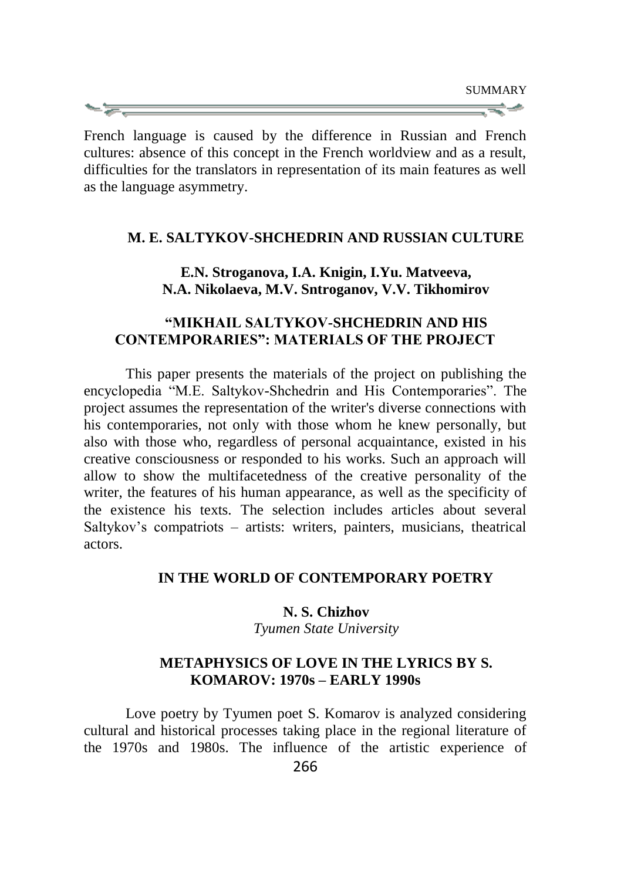French language is caused by the difference in Russian and French cultures: absence of this concept in the French worldview and as a result, difficulties for the translators in representation of its main features as well as the language asymmetry.

#### **M. E. SALTYKOV-SHCHEDRIN AND RUSSIAN CULTURE**

### **E.N. Stroganova, I.A. Knigin, I.Yu. Matveeva, N.A. Nikolaeva, M.V. Sntroganov, V.V. Tikhomirov**

### **"MIKHAIL SALTYKOV-SHCHEDRIN AND HIS CONTEMPORARIES": MATERIALS OF THE PROJECT**

This paper presents the materials of the project on publishing the encyclopedia "M.E. Saltykov-Shchedrin and His Contemporaries". The project assumes the representation of the writer's diverse connections with his contemporaries, not only with those whom he knew personally, but also with those who, regardless of personal acquaintance, existed in his creative consciousness or responded to his works. Such an approach will allow to show the multifacetedness of the creative personality of the writer, the features of his human appearance, as well as the specificity of the existence his texts. The selection includes articles about several Saltykov's compatriots – artists: writers, painters, musicians, theatrical actors.

### **IN THE WORLD OF CONTEMPORARY POETRY**

### **N. S. Chizhov**

*Tyumen State University*

### **METAPHYSICS OF LOVE IN THE LYRICS BY S. KOMAROV: 1970s – EARLY 1990s**

Love poetry by Tyumen poet S. Komarov is analyzed considering cultural and historical processes taking place in the regional literature of the 1970s and 1980s. The influence of the artistic experience of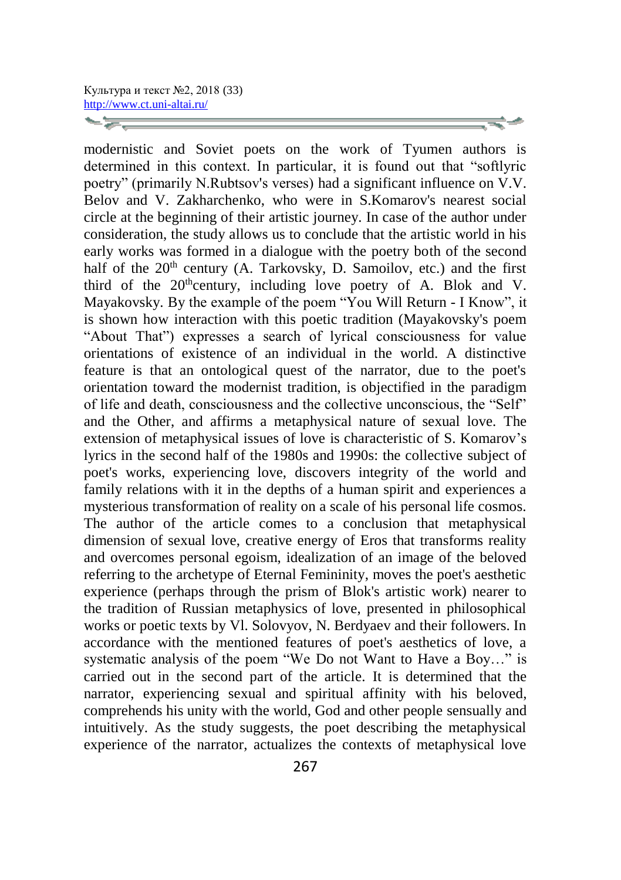modernistic and Soviet poets on the work of Tyumen authors is determined in this context. In particular, it is found out that "softlyric poetry" (primarily N.Rubtsov's verses) had a significant influence on V.V. Belov and V. Zakharchenko, who were in S.Komarov's nearest social circle at the beginning of their artistic journey. In case of the author under consideration, the study allows us to conclude that the artistic world in his early works was formed in a dialogue with the poetry both of the second half of the  $20<sup>th</sup>$  century (A. Tarkovsky, D. Samoilov, etc.) and the first third of the  $20<sup>th</sup>$ century, including love poetry of A. Blok and V. Mayakovsky. By the example of the poem "You Will Return - I Know", it is shown how interaction with this poetic tradition (Mayakovsky's poem "About That") expresses a search of lyrical consciousness for value orientations of existence of an individual in the world. A distinctive feature is that an ontological quest of the narrator, due to the poet's orientation toward the modernist tradition, is objectified in the paradigm of life and death, consciousness and the collective unconscious, the "Self" and the Other, and affirms a metaphysical nature of sexual love. The extension of metaphysical issues of love is characteristic of S. Komarov's lyrics in the second half of the 1980s and 1990s: the collective subject of poet's works, experiencing love, discovers integrity of the world and family relations with it in the depths of a human spirit and experiences a mysterious transformation of reality on a scale of his personal life cosmos. The author of the article comes to a conclusion that metaphysical dimension of sexual love, creative energy of Eros that transforms reality and overcomes personal egoism, idealization of an image of the beloved referring to the archetype of Eternal Femininity, moves the poet's aesthetic experience (perhaps through the prism of Blok's artistic work) nearer to the tradition of Russian metaphysics of love, presented in philosophical works or poetic texts by Vl. Solovyov, N. Berdyaev and their followers. In accordance with the mentioned features of poet's aesthetics of love, a systematic analysis of the poem "We Do not Want to Have a Boy…" is carried out in the second part of the article. It is determined that the narrator, experiencing sexual and spiritual affinity with his beloved, comprehends his unity with the world, God and other people sensually and intuitively. As the study suggests, the poet describing the metaphysical experience of the narrator, actualizes the contexts of metaphysical love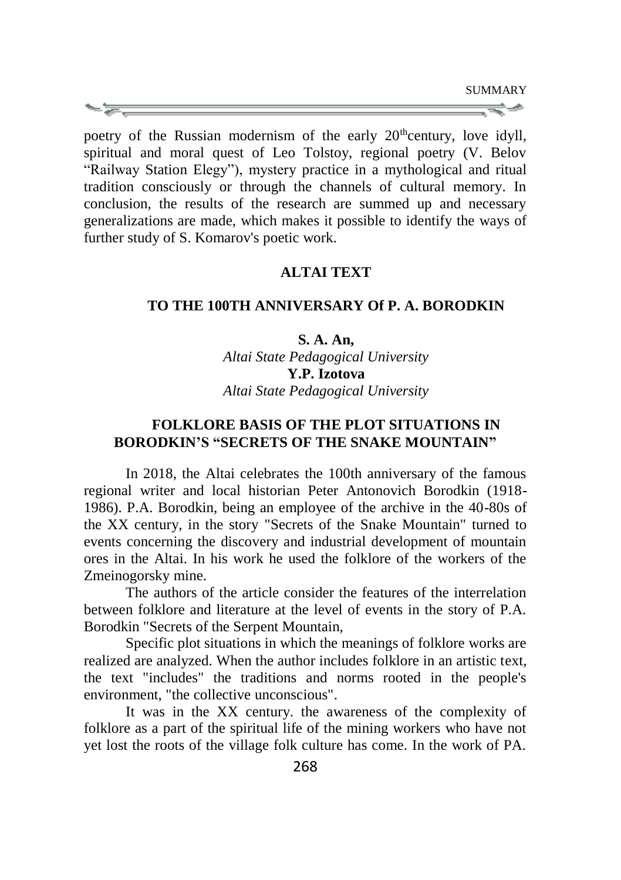poetry of the Russian modernism of the early 20<sup>th</sup>century, love idyll, spiritual and moral quest of Leo Tolstoy, regional poetry (V. Belov "Railway Station Elegy"), mystery practice in a mythological and ritual tradition consciously or through the channels of cultural memory. In conclusion, the results of the research are summed up and necessary generalizations are made, which makes it possible to identify the ways of further study of S. Komarov's poetic work.

### **ALTAI TEXT**

#### **TO THE 100TH ANNIVERSARY Of P. A. BORODKIN**

## **S. A. An,**

*Altai State Pedagogical University* **Y.P. Izotova** *Altai State Pedagogical University*

## **FOLKLORE BASIS OF THE PLOT SITUATIONS IN BORODKIN'S "SECRETS OF THE SNAKE MOUNTAIN"**

In 2018, the Altai celebrates the 100th anniversary of the famous regional writer and local historian Peter Antonovich Borodkin (1918- 1986). P.A. Borodkin, being an employee of the archive in the 40-80s of the XX century, in the story "Secrets of the Snake Mountain" turned to events concerning the discovery and industrial development of mountain ores in the Altai. In his work he used the folklore of the workers of the Zmeinogorsky mine.

The authors of the article consider the features of the interrelation between folklore and literature at the level of events in the story of P.A. Borodkin "Secrets of the Serpent Mountain,

Specific plot situations in which the meanings of folklore works are realized are analyzed. When the author includes folklore in an artistic text, the text "includes" the traditions and norms rooted in the people's environment, "the collective unconscious".

It was in the XX century. the awareness of the complexity of folklore as a part of the spiritual life of the mining workers who have not yet lost the roots of the village folk culture has come. In the work of PA.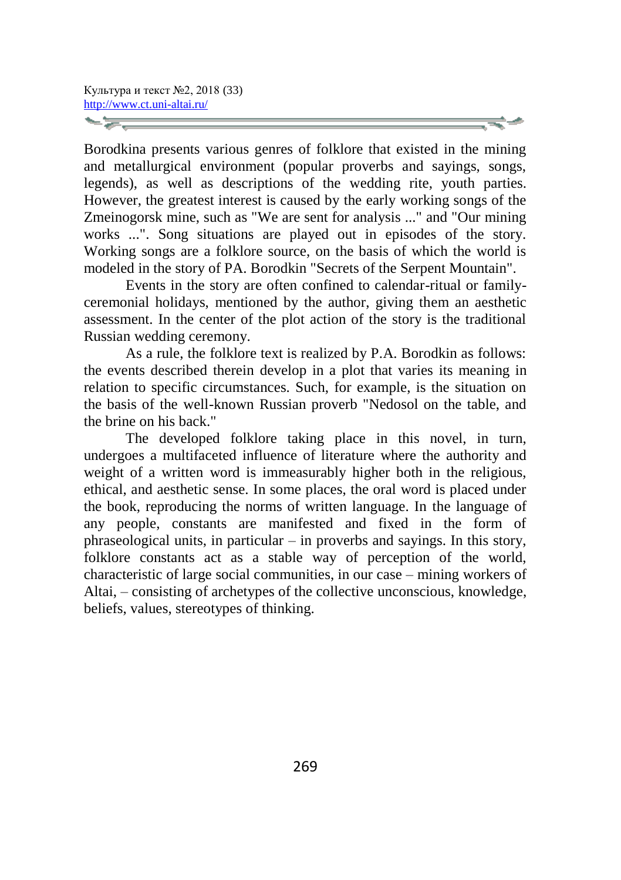Borodkina presents various genres of folklore that existed in the mining and metallurgical environment (popular proverbs and sayings, songs, legends), as well as descriptions of the wedding rite, youth parties. However, the greatest interest is caused by the early working songs of the Zmeinogorsk mine, such as "We are sent for analysis ..." and "Our mining works ...". Song situations are played out in episodes of the story. Working songs are a folklore source, on the basis of which the world is modeled in the story of PA. Borodkin "Secrets of the Serpent Mountain".

Events in the story are often confined to calendar-ritual or familyceremonial holidays, mentioned by the author, giving them an aesthetic assessment. In the center of the plot action of the story is the traditional Russian wedding ceremony.

As a rule, the folklore text is realized by P.A. Borodkin as follows: the events described therein develop in a plot that varies its meaning in relation to specific circumstances. Such, for example, is the situation on the basis of the well-known Russian proverb "Nedosol on the table, and the brine on his back."

The developed folklore taking place in this novel, in turn, undergoes a multifaceted influence of literature where the authority and weight of a written word is immeasurably higher both in the religious, ethical, and aesthetic sense. In some places, the oral word is placed under the book, reproducing the norms of written language. In the language of any people, constants are manifested and fixed in the form of phraseological units, in particular – in proverbs and sayings. In this story, folklore constants act as a stable way of perception of the world, characteristic of large social communities, in our case – mining workers of Altai, – consisting of archetypes of the collective unconscious, knowledge, beliefs, values, stereotypes of thinking.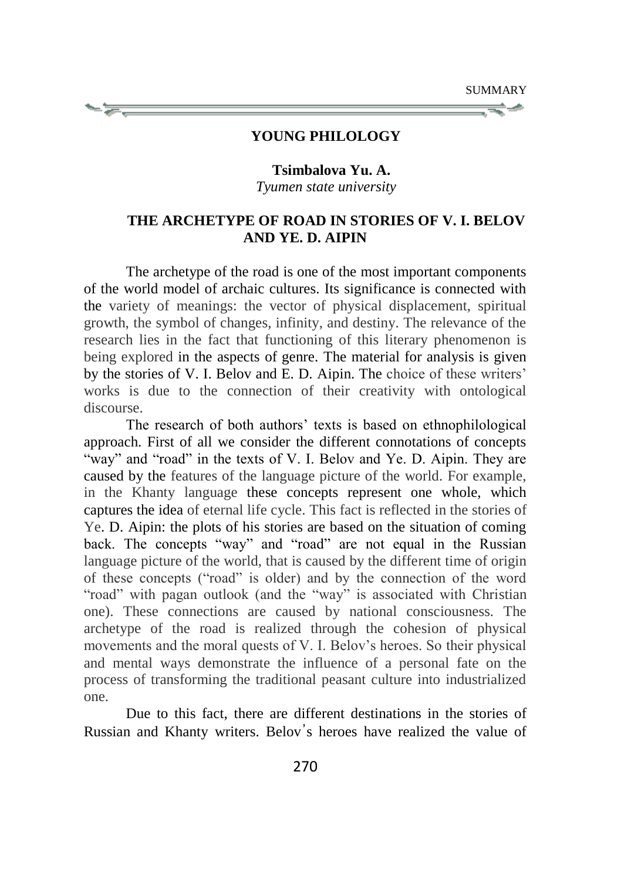#### **YOUNG PHILOLOGY**

**Tsimbalova Yu. A.** *Tyumen state university*

## **THE ARCHETYPE OF ROAD IN STORIES OF V. I. BELOV AND YE. D. AIPIN**

The archetype of the road is one of the most important components of the world model of archaic cultures. Its significance is connected with the variety of meanings: the vector of physical displacement, spiritual growth, the symbol of changes, infinity, and destiny. The relevance of the research lies in the fact that functioning of this literary phenomenon is being explored in the aspects of genre. The material for analysis is given by the stories of V. I. Belov and E. D. Aipin. The choice of these writers' works is due to the connection of their creativity with ontological discourse.

The research of both authors' texts is based on ethnophilological approach. First of all we consider the different connotations of concepts "way" and "road" in the texts of V. I. Belov and Ye. D. Aipin. They are caused by the features of the language picture of the world. For example, in the Khanty language these concepts represent one whole, which captures the idea of eternal life cycle. This fact is reflected in the stories of Ye. D. Aipin: the plots of his stories are based on the situation of coming back. The concepts "way" and "road" are not equal in the Russian language picture of the world, that is caused by the different time of origin of these concepts ("road" is older) and by the connection of the word "road" with pagan outlook (and the "way" is associated with Christian one). These connections are caused by national consciousness. The archetype of the road is realized through the cohesion of physical movements and the moral quests of V. I. Belov's heroes. So their physical and mental ways demonstrate the influence of a personal fate on the process of transforming the traditional peasant culture into industrialized one.

Due to this fact, there are different destinations in the stories of Russian and Khanty writers. Belov's heroes have realized the value of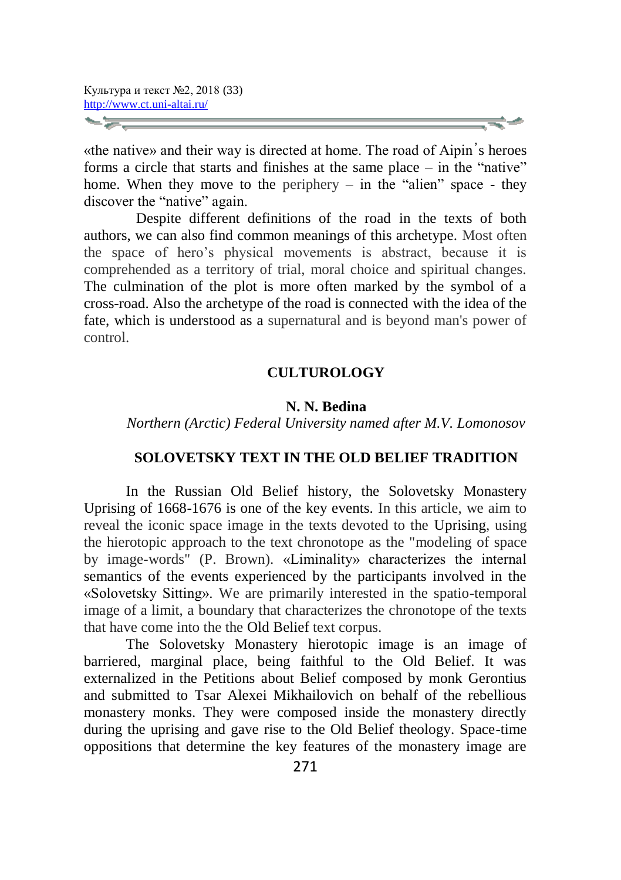«the native» and their way is directed at home. The road of Aipin᾿s heroes forms a circle that starts and finishes at the same place – in the "native" home. When they move to the periphery – in the "alien" space - they discover the "native" again.

Despite different definitions of the road in the texts of both authors, we can also find common meanings of this archetype. Most often the space of hero's physical movements is abstract, because it is comprehended as a territory of trial, moral choice and spiritual changes. The culmination of the plot is more often marked by the symbol of a cross-road. Also the archetype of the road is connected with the idea of the fate, which is understood as a supernatural and is beyond man's power of control.

#### **CULTUROLOGY**

#### **N. N. Bedina**

*Northern (Arctic) Federal University named after M.V. Lomonosov*

### **SOLOVETSKY TEXT IN THE OLD BELIEF TRADITION**

In the Russian Old Belief history, the Solovetsky Monastery Uprising of 1668-1676 is one of the key events. In this article, we aim to reveal the iconic space image in the texts devoted to the Uprising, using the hierotopic approach to the text chronotope as the "modeling of space by image-words" (P. Brown). «Liminality» characterizes the internal semantics of the events experienced by the participants involved in the «Solovetsky Sitting». We are primarily interested in the spatio-temporal image of a limit, a boundary that characterizes the chronotope of the texts that have come into the the Old Belief text corpus.

The Solovetsky Monastery hierotopic image is an image of barriered, marginal place, being faithful to the Old Belief. It was externalized in the Petitions about Belief composed by monk Gerontius and submitted to Tsar Alexei Mikhailovich on behalf of the rebellious monastery monks. They were composed inside the monastery directly during the uprising and gave rise to the Old Belief theology. Space-time oppositions that determine the key features of the monastery image are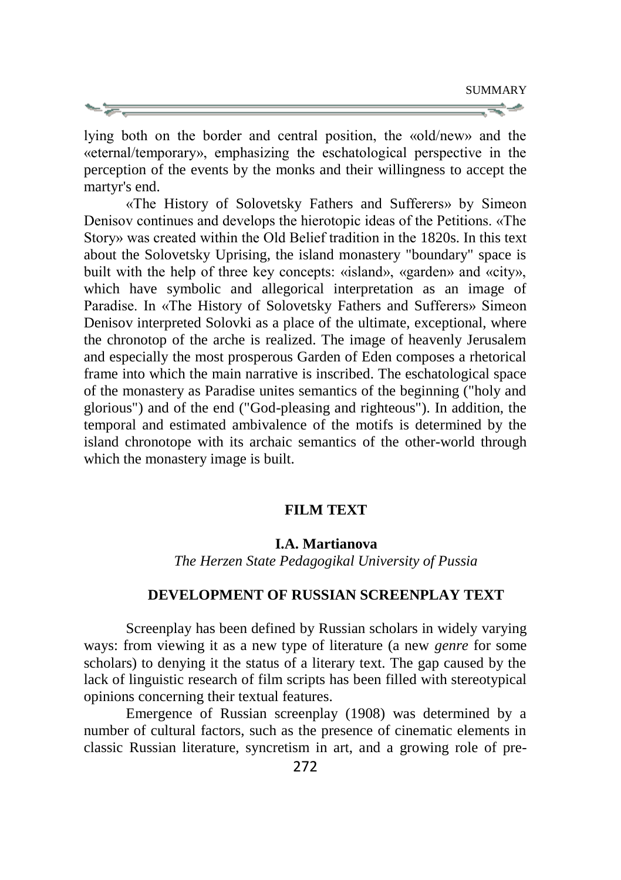lying both on the border and central position, the «old/new» and the «eternal/temporary», emphasizing the eschatological perspective in the perception of the events by the monks and their willingness to accept the martyr's end.

«The History of Solovetsky Fathers and Sufferers» by Simeon Denisov continues and develops the hierotopic ideas of the Petitions. «The Story» was created within the Old Belief tradition in the 1820s. In this text about the Solovetsky Uprising, the island monastery "boundary" space is built with the help of three key concepts: «island», «garden» and «city», which have symbolic and allegorical interpretation as an image of Paradise. In «The History of Solovetsky Fathers and Sufferers» Simeon Denisov interpreted Solovki as a place of the ultimate, exceptional, where the chronotop of the arche is realized. The image of heavenly Jerusalem and especially the most prosperous Garden of Eden composes a rhetorical frame into which the main narrative is inscribed. The eschatological space of the monastery as Paradise unites semantics of the beginning ("holy and glorious") and of the end ("God-pleasing and righteous"). In addition, the temporal and estimated ambivalence of the motifs is determined by the island chronotope with its archaic semantics of the other-world through which the monastery image is built.

### **FILM TEXT**

### **I.A. Martianova**

*The Herzen State Pedagogikal University of Pussia*

#### **DEVELOPMENT OF RUSSIAN SCREENPLAY TEXT**

Screenplay has been defined by Russian scholars in widely varying ways: from viewing it as a new type of literature (a new *genre* for some scholars) to denying it the status of a literary text. The gap caused by the lack of linguistic research of film scripts has been filled with stereotypical opinions concerning their textual features.

Emergence of Russian screenplay (1908) was determined by a number of cultural factors, such as the presence of cinematic elements in classic Russian literature, syncretism in art, and a growing role of pre-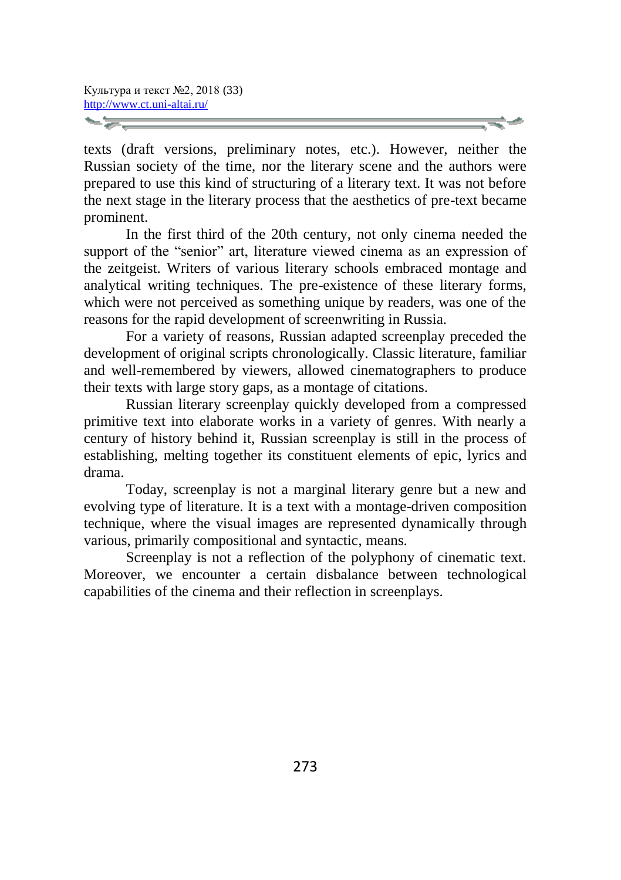texts (draft versions, preliminary notes, etc.). However, neither the Russian society of the time, nor the literary scene and the authors were prepared to use this kind of structuring of a literary text. It was not before the next stage in the literary process that the aesthetics of pre-text became prominent.

In the first third of the 20th century, not only cinema needed the support of the "senior" art, literature viewed cinema as an expression of the zeitgeist. Writers of various literary schools embraced montage and analytical writing techniques. The pre-existence of these literary forms, which were not perceived as something unique by readers, was one of the reasons for the rapid development of screenwriting in Russia.

For a variety of reasons, Russian adapted screenplay preceded the development of original scripts chronologically. Classic literature, familiar and well-remembered by viewers, allowed cinematographers to produce their texts with large story gaps, as a montage of citations.

Russian literary screenplay quickly developed from a compressed primitive text into elaborate works in a variety of genres. With nearly a century of history behind it, Russian screenplay is still in the process of establishing, melting together its constituent elements of epic, lyrics and drama.

Today, screenplay is not a marginal literary genre but a new and evolving type of literature. It is a text with a montage-driven composition technique, where the visual images are represented dynamically through various, primarily compositional and syntactic, means.

Screenplay is not a reflection of the polyphony of cinematic text. Moreover, we encounter a certain disbalance between technological capabilities of the cinema and their reflection in screenplays.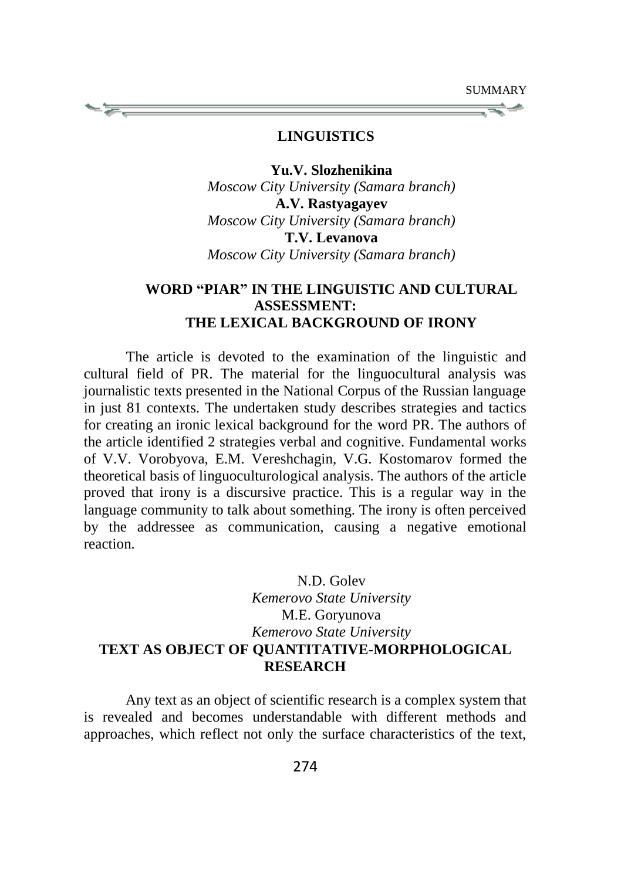#### **LINGUISTICS**

**Yu.V. Slozhenikina** *Moscow City University (Samara branch)*  **A.V. Rastyagayev**  *Moscow City University (Samara branch)* **T.V. Levanova**  *Moscow City University (Samara branch)* 

## **WORD "PIAR" IN THE LINGUISTIC AND CULTURAL ASSESSMENT: THE LEXICAL BACKGROUND OF IRONY**

The article is devoted to the examination of the linguistic and cultural field of PR. The material for the linguocultural analysis was journalistic texts presented in the National Corpus of the Russian language in just 81 contexts. The undertaken study describes strategies and tactics for creating an ironic lexical background for the word PR. The authors of the article identified 2 strategies verbal and cognitive. Fundamental works of V.V. Vorobyova, E.M. Vereshchagin, V.G. Kostomarov formed the theoretical basis of linguoculturological analysis. The authors of the article proved that irony is a discursive practice. This is a regular way in the language community to talk about something. The irony is often perceived by the addressee as communication, causing a negative emotional reaction.

# N.D. Golev *Kemerovo State University* M.E. Goryunova *Kemerovo State University* **TEXT AS OBJECT OF QUANTITATIVE-MORPHOLOGICAL RESEARCH**

Any text as an object of scientific research is a complex system that is revealed and becomes understandable with different methods and approaches, which reflect not only the surface characteristics of the text,